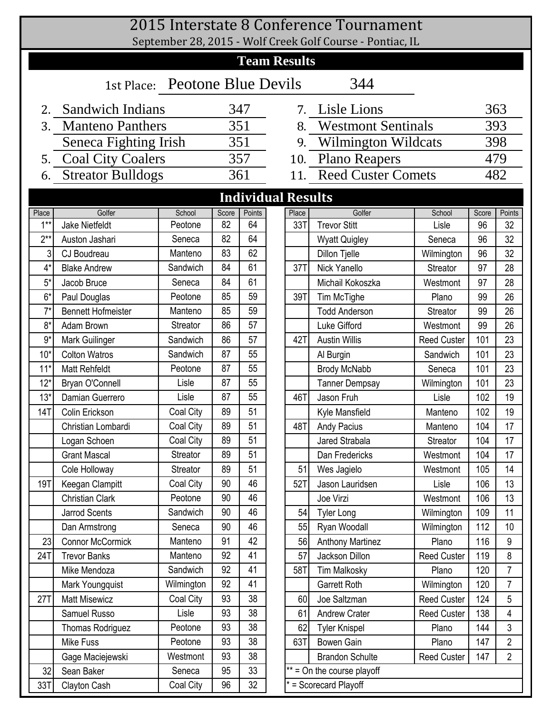|                           |                                       |                   |             |              |  |                     | 2015 Interstate 8 Conference Tournament                   |                    |             |                |  |  |  |  |  |
|---------------------------|---------------------------------------|-------------------|-------------|--------------|--|---------------------|-----------------------------------------------------------|--------------------|-------------|----------------|--|--|--|--|--|
|                           |                                       |                   |             |              |  |                     | September 28, 2015 - Wolf Creek Golf Course - Pontiac, IL |                    |             |                |  |  |  |  |  |
|                           |                                       |                   |             |              |  | <b>Team Results</b> |                                                           |                    |             |                |  |  |  |  |  |
|                           | 344<br>1st Place: Peotone Blue Devils |                   |             |              |  |                     |                                                           |                    |             |                |  |  |  |  |  |
|                           | 2. Sandwich Indians                   |                   |             | 347          |  |                     | 7. Lisle Lions                                            |                    |             | 363            |  |  |  |  |  |
| 3.                        | <b>Manteno Panthers</b>               |                   |             | 351          |  |                     | 8. Westmont Sentinals                                     |                    |             | 393            |  |  |  |  |  |
|                           | Seneca Fighting Irish                 |                   |             | 351          |  |                     | 9. Wilmington Wildcats                                    |                    |             | 398            |  |  |  |  |  |
|                           | 5. Coal City Coalers                  |                   |             | 357          |  |                     | 10. Plano Reapers                                         |                    |             | 479            |  |  |  |  |  |
| 6.                        | <b>Streator Bulldogs</b>              |                   |             | 361          |  |                     | 11. Reed Custer Comets                                    |                    |             | 482            |  |  |  |  |  |
| <b>Individual Results</b> |                                       |                   |             |              |  |                     |                                                           |                    |             |                |  |  |  |  |  |
|                           |                                       |                   |             |              |  |                     |                                                           |                    |             |                |  |  |  |  |  |
| Place<br>$1***$           | Golfer<br><b>Jake Nietfeldt</b>       | School<br>Peotone | Score<br>82 | Points<br>64 |  | Place<br>33T        | Golfer<br><b>Trevor Stitt</b>                             | School<br>Lisle    | Score<br>96 | Points<br>32   |  |  |  |  |  |
| $2**$                     | Auston Jashari                        | Seneca            | 82          | 64           |  |                     | <b>Wyatt Quigley</b>                                      | Seneca             | 96          | 32             |  |  |  |  |  |
| 3                         | CJ Boudreau                           | Manteno           | 83          | 62           |  |                     | Dillon Tjelle                                             | Wilmington         | 96          | 32             |  |  |  |  |  |
| $4^*$                     | <b>Blake Andrew</b>                   | Sandwich          | 84          | 61           |  | 37T                 | Nick Yanello                                              | <b>Streator</b>    | 97          | 28             |  |  |  |  |  |
| $5*$                      | Jacob Bruce                           | Seneca            | 84          | 61           |  |                     | Michail Kokoszka                                          | Westmont           | 97          | 28             |  |  |  |  |  |
| $6*$                      | Paul Douglas                          | Peotone           | 85          | 59           |  | 39T                 | Tim McTighe                                               | Plano              | 99          | 26             |  |  |  |  |  |
| $7^*$                     | <b>Bennett Hofmeister</b>             | Manteno           | 85          | 59           |  |                     | <b>Todd Anderson</b>                                      | <b>Streator</b>    | 99          | 26             |  |  |  |  |  |
| $8*$                      | Adam Brown                            | <b>Streator</b>   | 86          | 57           |  |                     | Luke Gifford                                              | Westmont           | 99          | 26             |  |  |  |  |  |
| $9*$                      | Mark Guilinger                        | Sandwich          | 86          | 57           |  | 42T                 | <b>Austin Willis</b>                                      | <b>Reed Custer</b> | 101         | 23             |  |  |  |  |  |
| $10*$                     | <b>Colton Watros</b>                  | Sandwich          | 87          | 55           |  |                     | Al Burgin                                                 | Sandwich           | 101         | 23             |  |  |  |  |  |
| $11*$                     | <b>Matt Rehfeldt</b>                  | Peotone           | 87          | 55           |  |                     | <b>Brody McNabb</b>                                       | Seneca             | 101         | 23             |  |  |  |  |  |
| $12*$                     | Bryan O'Connell                       | Lisle             | 87          | 55           |  |                     | <b>Tanner Dempsay</b>                                     | 101                | 23          |                |  |  |  |  |  |
| $13*$                     | Damian Guerrero                       | Lisle             | 87          | 55           |  | 46T                 | Jason Fruh                                                | 102                | 19          |                |  |  |  |  |  |
| 14T                       | Colin Erickson                        | Coal City         | 89          | 51           |  |                     | Kyle Mansfield                                            | Manteno            | 102         | 19             |  |  |  |  |  |
|                           | Christian Lombardi                    | Coal City         | 89          | 51           |  | 48T                 | <b>Andy Pacius</b>                                        | Manteno            | 104         | 17             |  |  |  |  |  |
|                           | Logan Schoen                          | Coal City         | 89          | 51           |  |                     | Jared Strabala                                            | <b>Streator</b>    | 104         | 17             |  |  |  |  |  |
|                           | <b>Grant Mascal</b>                   | Streator          | 89          | 51           |  |                     | Dan Fredericks                                            | Westmont           | 104         | 17             |  |  |  |  |  |
|                           | Cole Holloway                         | Streator          | 89          | 51           |  | 51                  | Wes Jagielo                                               | Westmont           | 105         | 14             |  |  |  |  |  |
| 19T                       | Keegan Clampitt                       | Coal City         | 90          | 46           |  | 52T                 | Jason Lauridsen                                           | Lisle              | 106         | 13             |  |  |  |  |  |
|                           | <b>Christian Clark</b>                | Peotone           | 90          | 46           |  |                     | Joe Virzi                                                 | Westmont           | 106         | 13             |  |  |  |  |  |
|                           | <b>Jarrod Scents</b>                  | Sandwich          | 90          | 46           |  | 54                  | <b>Tyler Long</b>                                         | Wilmington         | 109         | 11             |  |  |  |  |  |
|                           | Dan Armstrong                         | Seneca            | 90          | 46           |  | 55                  | Ryan Woodall                                              | Wilmington         | 112         | 10             |  |  |  |  |  |
| 23                        | <b>Connor McCormick</b>               | Manteno           | 91          | 42           |  | 56                  | <b>Anthony Martinez</b>                                   | Plano              | 116         | 9              |  |  |  |  |  |
| 24T                       | <b>Trevor Banks</b>                   | Manteno           | 92          | 41           |  | 57                  | Jackson Dillon                                            | <b>Reed Custer</b> | 119         | 8              |  |  |  |  |  |
|                           | Mike Mendoza                          | Sandwich          | 92          | 41           |  | 58T                 | <b>Tim Malkosky</b>                                       | Plano              | 120         | 7              |  |  |  |  |  |
|                           | Mark Youngquist                       | Wilmington        | 92          | 41           |  |                     | Garrett Roth                                              | Wilmington         | 120         | $\overline{7}$ |  |  |  |  |  |
| 27T                       | <b>Matt Misewicz</b>                  | Coal City         | 93          | 38           |  | 60                  | Joe Saltzman                                              | <b>Reed Custer</b> | 124         | 5              |  |  |  |  |  |
|                           | Samuel Russo                          | Lisle             | 93          | 38           |  | 61                  | <b>Andrew Crater</b>                                      | <b>Reed Custer</b> | 138         | 4              |  |  |  |  |  |
|                           | Thomas Rodriguez                      | Peotone           | 93          | 38<br>38     |  | 62<br>63T           | <b>Tyler Knispel</b>                                      | Plano              | 144         | 3              |  |  |  |  |  |
|                           | Mike Fuss                             | Peotone<br>93     |             |              |  |                     | <b>Bowen Gain</b>                                         | Plano              | 147         | $\overline{2}$ |  |  |  |  |  |
|                           | Gage Maciejewski                      | Westmont          | 93          | 38           |  |                     | <b>Brandon Schulte</b>                                    | <b>Reed Custer</b> | 147         | $\overline{2}$ |  |  |  |  |  |
| 32                        | Sean Baker                            | Seneca            | 95          | 33           |  |                     | $*$ = On the course playoff                               |                    |             |                |  |  |  |  |  |
| 33T                       | Clayton Cash                          | Coal City         | 96          | 32           |  |                     | * = Scorecard Playoff                                     |                    |             |                |  |  |  |  |  |